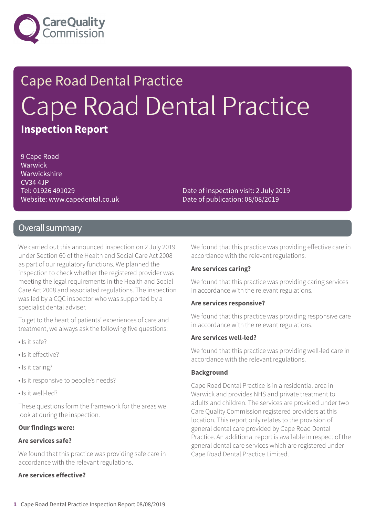

# Cape Road Dental Practice Cape Road Dental Practice **Inspection Report**

9 Cape Road **Warwick** Warwickshire CV34 4JP Tel: 01926 491029 Website: www.capedental.co.uk

Date of inspection visit: 2 July 2019 Date of publication: 08/08/2019

### Overall summary

We carried out this announced inspection on 2 July 2019 under Section 60 of the Health and Social Care Act 2008 as part of our regulatory functions. We planned the inspection to check whether the registered provider was meeting the legal requirements in the Health and Social Care Act 2008 and associated regulations. The inspection was led by a CQC inspector who was supported by a specialist dental adviser.

To get to the heart of patients' experiences of care and treatment, we always ask the following five questions:

- Is it safe?
- Is it effective?
- Is it caring?
- Is it responsive to people's needs?
- Is it well-led?

These questions form the framework for the areas we look at during the inspection.

#### **Our findings were:**

#### **Are services safe?**

We found that this practice was providing safe care in accordance with the relevant regulations.

#### **Are services effective?**

We found that this practice was providing effective care in accordance with the relevant regulations.

#### **Are services caring?**

We found that this practice was providing caring services in accordance with the relevant regulations.

#### **Are services responsive?**

We found that this practice was providing responsive care in accordance with the relevant regulations.

#### **Are services well-led?**

We found that this practice was providing well-led care in accordance with the relevant regulations.

#### **Background**

Cape Road Dental Practice is in a residential area in Warwick and provides NHS and private treatment to adults and children. The services are provided under two Care Quality Commission registered providers at this location. This report only relates to the provision of general dental care provided by Cape Road Dental Practice. An additional report is available in respect of the general dental care services which are registered under Cape Road Dental Practice Limited.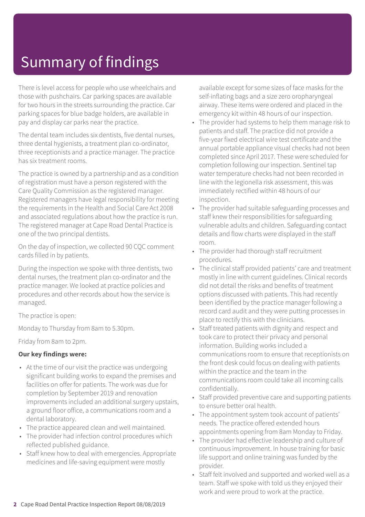# Summary of findings

There is level access for people who use wheelchairs and those with pushchairs. Car parking spaces are available for two hours in the streets surrounding the practice. Car parking spaces for blue badge holders, are available in pay and display car parks near the practice.

The dental team includes six dentists, five dental nurses, three dental hygienists, a treatment plan co-ordinator, three receptionists and a practice manager. The practice has six treatment rooms.

The practice is owned by a partnership and as a condition of registration must have a person registered with the Care Quality Commission as the registered manager. Registered managers have legal responsibility for meeting the requirements in the Health and Social Care Act 2008 and associated regulations about how the practice is run. The registered manager at Cape Road Dental Practice is one of the two principal dentists.

On the day of inspection, we collected 90 CQC comment cards filled in by patients.

During the inspection we spoke with three dentists, two dental nurses, the treatment plan co-ordinator and the practice manager. We looked at practice policies and procedures and other records about how the service is managed.

The practice is open:

Monday to Thursday from 8am to 5.30pm.

Friday from 8am to 2pm.

### **Our key findings were:**

- At the time of our visit the practice was undergoing significant building works to expand the premises and facilities on offer for patients. The work was due for completion by September 2019 and renovation improvements included an additional surgery upstairs, a ground floor office, a communications room and a dental laboratory.
- The practice appeared clean and well maintained.
- The provider had infection control procedures which reflected published guidance.
- Staff knew how to deal with emergencies. Appropriate medicines and life-saving equipment were mostly

available except for some sizes of face masks for the self-inflating bags and a size zero oropharyngeal airway. These items were ordered and placed in the emergency kit within 48 hours of our inspection.

- The provider had systems to help them manage risk to patients and staff. The practice did not provide a five-year fixed electrical wire test certificate and the annual portable appliance visual checks had not been completed since April 2017. These were scheduled for completion following our inspection. Sentinel tap water temperature checks had not been recorded in line with the legionella risk assessment, this was immediately rectified within 48 hours of our inspection.
- The provider had suitable safeguarding processes and staff knew their responsibilities for safeguarding vulnerable adults and children. Safeguarding contact details and flow charts were displayed in the staff room.
- The provider had thorough staff recruitment procedures.
- The clinical staff provided patients' care and treatment mostly in line with current guidelines. Clinical records did not detail the risks and benefits of treatment options discussed with patients. This had recently been identified by the practice manager following a record card audit and they were putting processes in place to rectify this with the clinicians.
- Staff treated patients with dignity and respect and took care to protect their privacy and personal information. Building works included a communications room to ensure that receptionists on the front desk could focus on dealing with patients within the practice and the team in the communications room could take all incoming calls confidentially.
- Staff provided preventive care and supporting patients to ensure better oral health.
- The appointment system took account of patients' needs. The practice offered extended hours appointments opening from 8am Monday to Friday.
- The provider had effective leadership and culture of continuous improvement. In house training for basic life support and online training was funded by the provider.
- Staff felt involved and supported and worked well as a team. Staff we spoke with told us they enjoyed their work and were proud to work at the practice.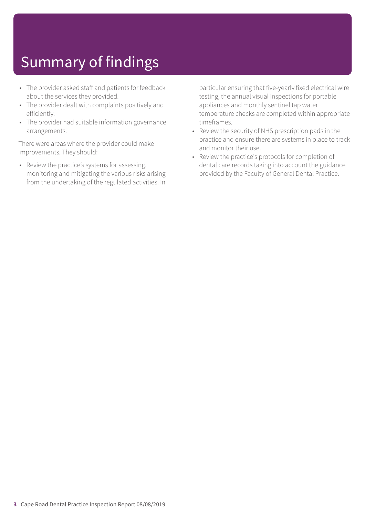# Summary of findings

- The provider asked staff and patients for feedback about the services they provided.
- The provider dealt with complaints positively and efficiently.
- The provider had suitable information governance arrangements.

There were areas where the provider could make improvements. They should:

• Review the practice's systems for assessing, monitoring and mitigating the various risks arising from the undertaking of the regulated activities. In

particular ensuring that five-yearly fixed electrical wire testing, the annual visual inspections for portable appliances and monthly sentinel tap water temperature checks are completed within appropriate timeframes.

- Review the security of NHS prescription pads in the practice and ensure there are systems in place to track and monitor their use.
- Review the practice's protocols for completion of dental care records taking into account the guidance provided by the Faculty of General Dental Practice.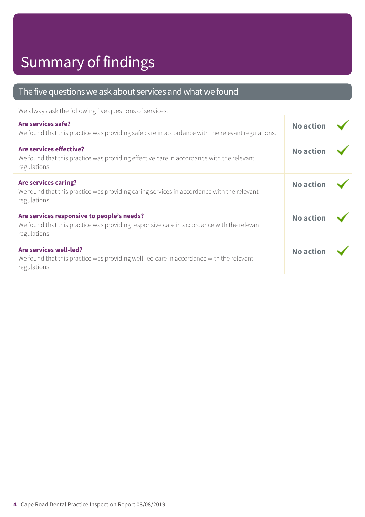### The five questions we ask about services and what we found

We always ask the following five questions of services.

| Are services safe?<br>We found that this practice was providing safe care in accordance with the relevant regulations.                                  | <b>No action</b> |  |
|---------------------------------------------------------------------------------------------------------------------------------------------------------|------------------|--|
| Are services effective?<br>We found that this practice was providing effective care in accordance with the relevant<br>regulations.                     | <b>No action</b> |  |
| <b>Are services caring?</b><br>We found that this practice was providing caring services in accordance with the relevant<br>regulations.                | <b>No action</b> |  |
| Are services responsive to people's needs?<br>We found that this practice was providing responsive care in accordance with the relevant<br>regulations. | <b>No action</b> |  |
| Are services well-led?<br>We found that this practice was providing well-led care in accordance with the relevant<br>regulations.                       | <b>No action</b> |  |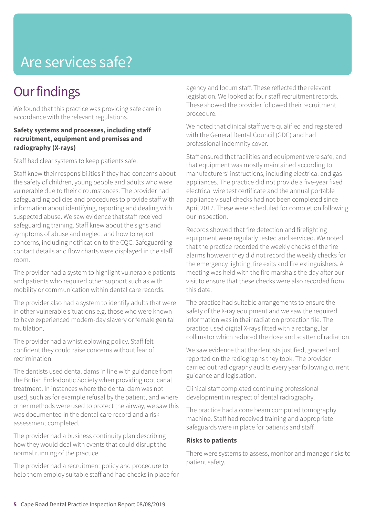## Are services safe?

### **Our findings**

We found that this practice was providing safe care in accordance with the relevant regulations.

### **Safety systems and processes, including staff recruitment, equipment and premises and radiography (X-rays)**

Staff had clear systems to keep patients safe.

Staff knew their responsibilities if they had concerns about the safety of children, young people and adults who were vulnerable due to their circumstances. The provider had safeguarding policies and procedures to provide staff with information about identifying, reporting and dealing with suspected abuse. We saw evidence that staff received safeguarding training. Staff knew about the signs and symptoms of abuse and neglect and how to report concerns, including notification to the CQC. Safeguarding contact details and flow charts were displayed in the staff room.

The provider had a system to highlight vulnerable patients and patients who required other support such as with mobility or communication within dental care records.

The provider also had a system to identify adults that were in other vulnerable situations e.g. those who were known to have experienced modern-day slavery or female genital mutilation.

The provider had a whistleblowing policy. Staff felt confident they could raise concerns without fear of recrimination.

The dentists used dental dams in line with guidance from the British Endodontic Society when providing root canal treatment. In instances where the dental dam was not used, such as for example refusal by the patient, and where other methods were used to protect the airway, we saw this was documented in the dental care record and a risk assessment completed.

The provider had a business continuity plan describing how they would deal with events that could disrupt the normal running of the practice.

The provider had a recruitment policy and procedure to help them employ suitable staff and had checks in place for agency and locum staff. These reflected the relevant legislation. We looked at four staff recruitment records. These showed the provider followed their recruitment procedure.

We noted that clinical staff were qualified and registered with the General Dental Council (GDC) and had professional indemnity cover.

Staff ensured that facilities and equipment were safe, and that equipment was mostly maintained according to manufacturers' instructions, including electrical and gas appliances. The practice did not provide a five-year fixed electrical wire test certificate and the annual portable appliance visual checks had not been completed since April 2017. These were scheduled for completion following our inspection.

Records showed that fire detection and firefighting equipment were regularly tested and serviced. We noted that the practice recorded the weekly checks of the fire alarms however they did not record the weekly checks for the emergency lighting, fire exits and fire extinguishers. A meeting was held with the fire marshals the day after our visit to ensure that these checks were also recorded from this date.

The practice had suitable arrangements to ensure the safety of the X-ray equipment and we saw the required information was in their radiation protection file. The practice used digital X-rays fitted with a rectangular collimator which reduced the dose and scatter of radiation.

We saw evidence that the dentists justified, graded and reported on the radiographs they took. The provider carried out radiography audits every year following current guidance and legislation.

Clinical staff completed continuing professional development in respect of dental radiography.

The practice had a cone beam computed tomography machine. Staff had received training and appropriate safeguards were in place for patients and staff.

#### **Risks to patients**

There were systems to assess, monitor and manage risks to patient safety.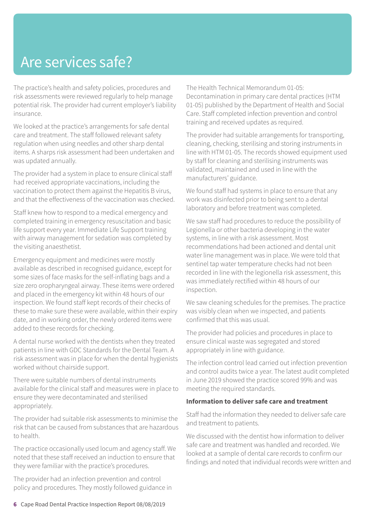### Are services safe?

The practice's health and safety policies, procedures and risk assessments were reviewed regularly to help manage potential risk. The provider had current employer's liability insurance.

We looked at the practice's arrangements for safe dental care and treatment. The staff followed relevant safety regulation when using needles and other sharp dental items. A sharps risk assessment had been undertaken and was updated annually.

The provider had a system in place to ensure clinical staff had received appropriate vaccinations, including the vaccination to protect them against the Hepatitis B virus, and that the effectiveness of the vaccination was checked.

Staff knew how to respond to a medical emergency and completed training in emergency resuscitation and basic life support every year. Immediate Life Support training with airway management for sedation was completed by the visiting anaesthetist.

Emergency equipment and medicines were mostly available as described in recognised guidance, except for some sizes of face masks for the self-inflating bags and a size zero oropharyngeal airway. These items were ordered and placed in the emergency kit within 48 hours of our inspection. We found staff kept records of their checks of these to make sure these were available, within their expiry date, and in working order, the newly ordered items were added to these records for checking.

A dental nurse worked with the dentists when they treated patients in line with GDC Standards for the Dental Team. A risk assessment was in place for when the dental hygienists worked without chairside support.

There were suitable numbers of dental instruments available for the clinical staff and measures were in place to ensure they were decontaminated and sterilised appropriately.

The provider had suitable risk assessments to minimise the risk that can be caused from substances that are hazardous to health.

The practice occasionally used locum and agency staff. We noted that these staff received an induction to ensure that they were familiar with the practice's procedures.

The provider had an infection prevention and control policy and procedures. They mostly followed guidance in The Health Technical Memorandum 01-05: Decontamination in primary care dental practices (HTM 01-05) published by the Department of Health and Social Care. Staff completed infection prevention and control training and received updates as required.

The provider had suitable arrangements for transporting, cleaning, checking, sterilising and storing instruments in line with HTM 01-05. The records showed equipment used by staff for cleaning and sterilising instruments was validated, maintained and used in line with the manufacturers' guidance.

We found staff had systems in place to ensure that any work was disinfected prior to being sent to a dental laboratory and before treatment was completed.

We saw staff had procedures to reduce the possibility of Legionella or other bacteria developing in the water systems, in line with a risk assessment. Most recommendations had been actioned and dental unit water line management was in place. We were told that sentinel tap water temperature checks had not been recorded in line with the legionella risk assessment, this was immediately rectified within 48 hours of our inspection.

We saw cleaning schedules for the premises. The practice was visibly clean when we inspected, and patients confirmed that this was usual.

The provider had policies and procedures in place to ensure clinical waste was segregated and stored appropriately in line with guidance.

The infection control lead carried out infection prevention and control audits twice a year. The latest audit completed in June 2019 showed the practice scored 99% and was meeting the required standards.

#### **Information to deliver safe care and treatment**

Staff had the information they needed to deliver safe care and treatment to patients.

We discussed with the dentist how information to deliver safe care and treatment was handled and recorded. We looked at a sample of dental care records to confirm our findings and noted that individual records were written and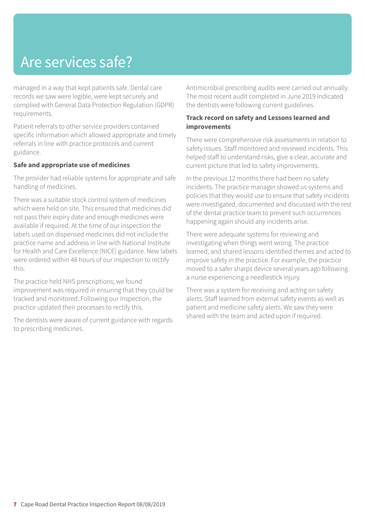### Are services safe?

managed in a way that kept patients safe. Dental care records we saw were legible, were kept securely and complied with General Data Protection Regulation (GDPR) requirements.

Patient referrals to other service providers contained specific information which allowed appropriate and timely referrals in line with practice protocols and current guidance.

### **Safe and appropriate use of medicines**

The provider had reliable systems for appropriate and safe handling of medicines.

There was a suitable stock control system of medicines which were held on site. This ensured that medicines did not pass their expiry date and enough medicines were available if required. At the time of our inspection the labels used on dispensed medicines did not include the practice name and address in line with National Institute for Health and Care Excellence (NICE) guidance. New labels were ordered within 48 hours of our inspection to rectify this.

The practice held NHS prescriptions; we found improvement was required in ensuring that they could be tracked and monitored. Following our inspection, the practice updated their processes to rectify this.

The dentists were aware of current guidance with regards to prescribing medicines.

Antimicrobial prescribing audits were carried out annually. The most recent audit completed in June 2019 indicated the dentists were following current guidelines.

#### **Track record on safety and Lessons learned and improvements**

There were comprehensive risk assessments in relation to safety issues. Staff monitored and reviewed incidents. This helped staff to understand risks, give a clear, accurate and current picture that led to safety improvements.

In the previous 12 months there had been no safety incidents. The practice manager showed us systems and policies that they would use to ensure that safety incidents were investigated, documented and discussed with the rest of the dental practice team to prevent such occurrences happening again should any incidents arise.

There were adequate systems for reviewing and investigating when things went wrong. The practice learned, and shared lessons identified themes and acted to improve safety in the practice. For example, the practice moved to a safer sharps device several years ago following a nurse experiencing a needlestick injury.

There was a system for receiving and acting on safety alerts. Staff learned from external safety events as well as patient and medicine safety alerts. We saw they were shared with the team and acted upon if required.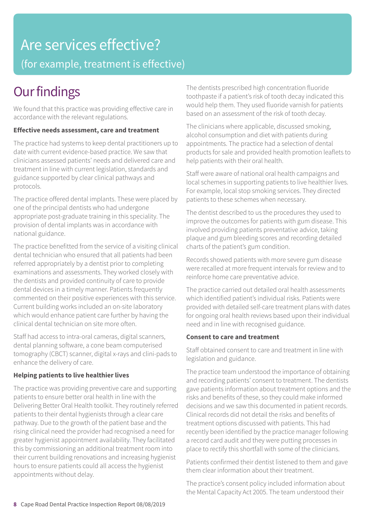# Are services effective?

(for example, treatment is effective)

### **Our findings**

We found that this practice was providing effective care in accordance with the relevant regulations.

### **Effective needs assessment, care and treatment**

The practice had systems to keep dental practitioners up to date with current evidence-based practice. We saw that clinicians assessed patients' needs and delivered care and treatment in line with current legislation, standards and guidance supported by clear clinical pathways and protocols.

The practice offered dental implants. These were placed by one of the principal dentists who had undergone appropriate post-graduate training in this speciality. The provision of dental implants was in accordance with national guidance.

The practice benefitted from the service of a visiting clinical dental technician who ensured that all patients had been referred appropriately by a dentist prior to completing examinations and assessments. They worked closely with the dentists and provided continuity of care to provide dental devices in a timely manner. Patients frequently commented on their positive experiences with this service. Current building works included an on-site laboratory which would enhance patient care further by having the clinical dental technician on site more often.

Staff had access to intra-oral cameras, digital scanners, dental planning software, a cone beam computerised tomography (CBCT) scanner, digital x-rays and clini-pads to enhance the delivery of care.

### **Helping patients to live healthier lives**

The practice was providing preventive care and supporting patients to ensure better oral health in line with the Delivering Better Oral Health toolkit. They routinely referred patients to their dental hygienists through a clear care pathway. Due to the growth of the patient base and the rising clinical need the provider had recognised a need for greater hygienist appointment availability. They facilitated this by commissioning an additional treatment room into their current building renovations and increasing hygienist hours to ensure patients could all access the hygienist appointments without delay.

The dentists prescribed high concentration fluoride toothpaste if a patient's risk of tooth decay indicated this would help them. They used fluoride varnish for patients based on an assessment of the risk of tooth decay.

The clinicians where applicable, discussed smoking, alcohol consumption and diet with patients during appointments. The practice had a selection of dental products for sale and provided health promotion leaflets to help patients with their oral health.

Staff were aware of national oral health campaigns and local schemes in supporting patients to live healthier lives. For example, local stop smoking services. They directed patients to these schemes when necessary.

The dentist described to us the procedures they used to improve the outcomes for patients with gum disease. This involved providing patients preventative advice, taking plaque and gum bleeding scores and recording detailed charts of the patient's gum condition.

Records showed patients with more severe gum disease were recalled at more frequent intervals for review and to reinforce home care preventative advice.

The practice carried out detailed oral health assessments which identified patient's individual risks. Patients were provided with detailed self-care treatment plans with dates for ongoing oral health reviews based upon their individual need and in line with recognised guidance.

### **Consent to care and treatment**

Staff obtained consent to care and treatment in line with legislation and guidance.

The practice team understood the importance of obtaining and recording patients' consent to treatment. The dentists gave patients information about treatment options and the risks and benefits of these, so they could make informed decisions and we saw this documented in patient records. Clinical records did not detail the risks and benefits of treatment options discussed with patients. This had recently been identified by the practice manager following a record card audit and they were putting processes in place to rectify this shortfall with some of the clinicians.

Patients confirmed their dentist listened to them and gave them clear information about their treatment.

The practice's consent policy included information about the Mental Capacity Act 2005. The team understood their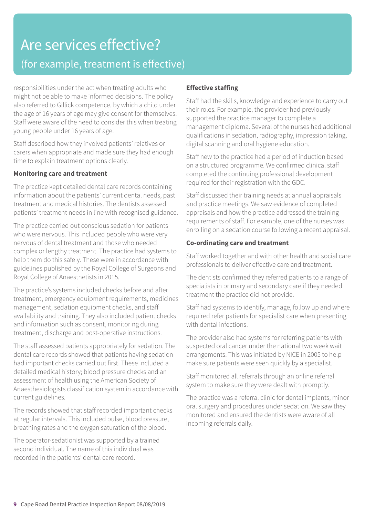### Are services effective? (for example, treatment is effective)

responsibilities under the act when treating adults who might not be able to make informed decisions. The policy also referred to Gillick competence, by which a child under the age of 16 years of age may give consent for themselves. Staff were aware of the need to consider this when treating young people under 16 years of age.

Staff described how they involved patients' relatives or carers when appropriate and made sure they had enough time to explain treatment options clearly.

### **Monitoring care and treatment**

The practice kept detailed dental care records containing information about the patients' current dental needs, past treatment and medical histories. The dentists assessed patients' treatment needs in line with recognised guidance.

The practice carried out conscious sedation for patients who were nervous. This included people who were very nervous of dental treatment and those who needed complex or lengthy treatment. The practice had systems to help them do this safely. These were in accordance with guidelines published by the Royal College of Surgeons and Royal College of Anaesthetists in 2015.

The practice's systems included checks before and after treatment, emergency equipment requirements, medicines management, sedation equipment checks, and staff availability and training. They also included patient checks and information such as consent, monitoring during treatment, discharge and post-operative instructions.

The staff assessed patients appropriately for sedation. The dental care records showed that patients having sedation had important checks carried out first. These included a detailed medical history; blood pressure checks and an assessment of health using the American Society of Anaesthesiologists classification system in accordance with current guidelines.

The records showed that staff recorded important checks at regular intervals. This included pulse, blood pressure, breathing rates and the oxygen saturation of the blood.

The operator-sedationist was supported by a trained second individual. The name of this individual was recorded in the patients' dental care record.

### **Effective staffing**

Staff had the skills, knowledge and experience to carry out their roles. For example, the provider had previously supported the practice manager to complete a management diploma. Several of the nurses had additional qualifications in sedation, radiography, impression taking, digital scanning and oral hygiene education.

Staff new to the practice had a period of induction based on a structured programme. We confirmed clinical staff completed the continuing professional development required for their registration with the GDC.

Staff discussed their training needs at annual appraisals and practice meetings. We saw evidence of completed appraisals and how the practice addressed the training requirements of staff. For example, one of the nurses was enrolling on a sedation course following a recent appraisal.

### **Co-ordinating care and treatment**

Staff worked together and with other health and social care professionals to deliver effective care and treatment.

The dentists confirmed they referred patients to a range of specialists in primary and secondary care if they needed treatment the practice did not provide.

Staff had systems to identify, manage, follow up and where required refer patients for specialist care when presenting with dental infections.

The provider also had systems for referring patients with suspected oral cancer under the national two week wait arrangements. This was initiated by NICE in 2005 to help make sure patients were seen quickly by a specialist.

Staff monitored all referrals through an online referral system to make sure they were dealt with promptly.

The practice was a referral clinic for dental implants, minor oral surgery and procedures under sedation. We saw they monitored and ensured the dentists were aware of all incoming referrals daily.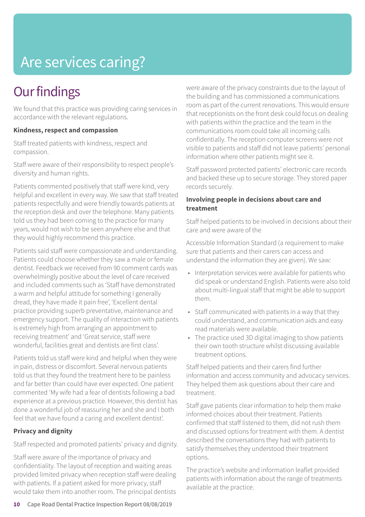# Are services caring?

### **Our findings**

We found that this practice was providing caring services in accordance with the relevant regulations.

### **Kindness, respect and compassion**

Staff treated patients with kindness, respect and compassion.

Staff were aware of their responsibility to respect people's diversity and human rights.

Patients commented positively that staff were kind, very helpful and excellent in every way. We saw that staff treated patients respectfully and were friendly towards patients at the reception desk and over the telephone. Many patients told us they had been coming to the practice for many years, would not wish to be seen anywhere else and that they would highly recommend this practice.

Patients said staff were compassionate and understanding. Patients could choose whether they saw a male or female dentist. Feedback we received from 90 comment cards was overwhelmingly positive about the level of care received and included comments such as 'Staff have demonstrated a warm and helpful attitude for something I generally dread, they have made it pain free', 'Excellent dental practice providing superb preventative, maintenance and emergency support. The quality of interaction with patients is extremely high from arranging an appointment to receiving treatment' and 'Great service, staff were wonderful, facilities great and dentists are first class'.

Patients told us staff were kind and helpful when they were in pain, distress or discomfort. Several nervous patients told us that they found the treatment here to be painless and far better than could have ever expected. One patient commented 'My wife had a fear of dentists following a bad experience at a previous practice. However, this dentist has done a wonderful job of reassuring her and she and I both feel that we have found a caring and excellent dentist'.

### **Privacy and dignity**

Staff respected and promoted patients' privacy and dignity.

Staff were aware of the importance of privacy and confidentiality. The layout of reception and waiting areas provided limited privacy when reception staff were dealing with patients. If a patient asked for more privacy, staff would take them into another room. The principal dentists

were aware of the privacy constraints due to the layout of the building and has commissioned a communications room as part of the current renovations. This would ensure that receptionists on the front desk could focus on dealing with patients within the practice and the team in the communications room could take all incoming calls confidentially. The reception computer screens were not visible to patients and staff did not leave patients' personal information where other patients might see it.

Staff password protected patients' electronic care records and backed these up to secure storage. They stored paper records securely.

### **Involving people in decisions about care and treatment**

Staff helped patients to be involved in decisions about their care and were aware of the

Accessible Information Standard (a requirement to make sure that patients and their carers can access and understand the information they are given). We saw:

- Interpretation services were available for patients who did speak or understand English. Patients were also told about multi-lingual staff that might be able to support them.
- Staff communicated with patients in a way that they could understand, and communication aids and easy read materials were available.
- The practice used 3D digital imaging to show patients their own tooth structure whilst discussing available treatment options.

Staff helped patients and their carers find further information and access community and advocacy services. They helped them ask questions about their care and treatment.

Staff gave patients clear information to help them make informed choices about their treatment. Patients confirmed that staff listened to them, did not rush them and discussed options for treatment with them. A dentist described the conversations they had with patients to satisfy themselves they understood their treatment options.

The practice's website and information leaflet provided patients with information about the range of treatments available at the practice.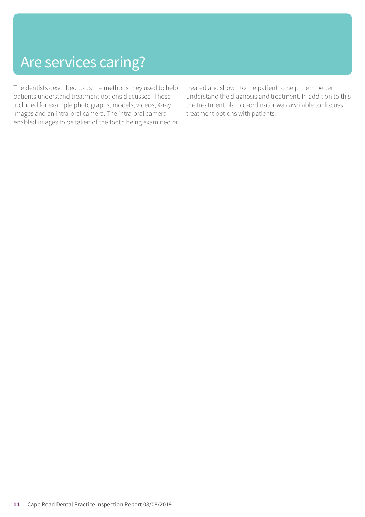### Are services caring?

The dentists described to us the methods they used to help patients understand treatment options discussed. These included for example photographs, models, videos, X-ray images and an intra-oral camera. The intra-oral camera enabled images to be taken of the tooth being examined or

treated and shown to the patient to help them better understand the diagnosis and treatment. In addition to this the treatment plan co-ordinator was available to discuss treatment options with patients.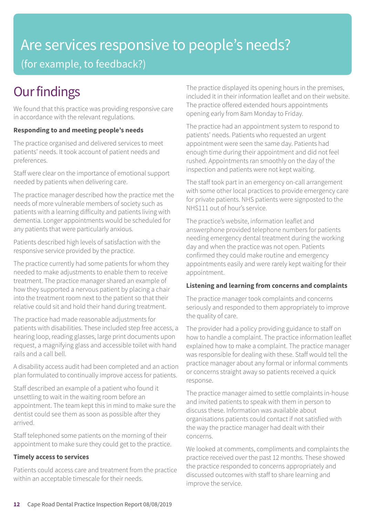### Are services responsive to people's needs? (for example, to feedback?)

### **Our findings**

We found that this practice was providing responsive care in accordance with the relevant regulations.

### **Responding to and meeting people's needs**

The practice organised and delivered services to meet patients' needs. It took account of patient needs and preferences.

Staff were clear on the importance of emotional support needed by patients when delivering care.

The practice manager described how the practice met the needs of more vulnerable members of society such as patients with a learning difficulty and patients living with dementia. Longer appointments would be scheduled for any patients that were particularly anxious.

Patients described high levels of satisfaction with the responsive service provided by the practice.

The practice currently had some patients for whom they needed to make adjustments to enable them to receive treatment. The practice manager shared an example of how they supported a nervous patient by placing a chair into the treatment room next to the patient so that their relative could sit and hold their hand during treatment.

The practice had made reasonable adjustments for patients with disabilities. These included step free access, a hearing loop, reading glasses, large print documents upon request, a magnifying glass and accessible toilet with hand rails and a call bell.

A disability access audit had been completed and an action plan formulated to continually improve access for patients.

Staff described an example of a patient who found it unsettling to wait in the waiting room before an appointment. The team kept this in mind to make sure the dentist could see them as soon as possible after they arrived.

Staff telephoned some patients on the morning of their appointment to make sure they could get to the practice.

### **Timely access to services**

Patients could access care and treatment from the practice within an acceptable timescale for their needs.

The practice displayed its opening hours in the premises, included it in their information leaflet and on their website. The practice offered extended hours appointments opening early from 8am Monday to Friday.

The practice had an appointment system to respond to patients' needs. Patients who requested an urgent appointment were seen the same day. Patients had enough time during their appointment and did not feel rushed. Appointments ran smoothly on the day of the inspection and patients were not kept waiting.

The staff took part in an emergency on-call arrangement with some other local practices to provide emergency care for private patients. NHS patients were signposted to the NHS111 out of hour's service.

The practice's website, information leaflet and answerphone provided telephone numbers for patients needing emergency dental treatment during the working day and when the practice was not open. Patients confirmed they could make routine and emergency appointments easily and were rarely kept waiting for their appointment.

### **Listening and learning from concerns and complaints**

The practice manager took complaints and concerns seriously and responded to them appropriately to improve the quality of care.

The provider had a policy providing guidance to staff on how to handle a complaint. The practice information leaflet explained how to make a complaint. The practice manager was responsible for dealing with these. Staff would tell the practice manager about any formal or informal comments or concerns straight away so patients received a quick response.

The practice manager aimed to settle complaints in-house and invited patients to speak with them in person to discuss these. Information was available about organisations patients could contact if not satisfied with the way the practice manager had dealt with their concerns.

We looked at comments, compliments and complaints the practice received over the past 12 months. These showed the practice responded to concerns appropriately and discussed outcomes with staff to share learning and improve the service.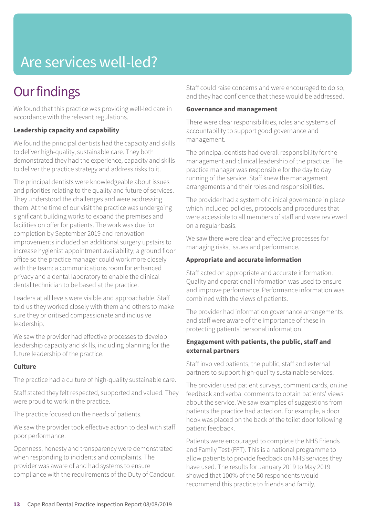## Are services well-led?

### **Our findings**

We found that this practice was providing well-led care in accordance with the relevant regulations.

### **Leadership capacity and capability**

We found the principal dentists had the capacity and skills to deliver high-quality, sustainable care. They both demonstrated they had the experience, capacity and skills to deliver the practice strategy and address risks to it.

The principal dentists were knowledgeable about issues and priorities relating to the quality and future of services. They understood the challenges and were addressing them. At the time of our visit the practice was undergoing significant building works to expand the premises and facilities on offer for patients. The work was due for completion by September 2019 and renovation improvements included an additional surgery upstairs to increase hygienist appointment availability; a ground floor office so the practice manager could work more closely with the team; a communications room for enhanced privacy and a dental laboratory to enable the clinical dental technician to be based at the practice.

Leaders at all levels were visible and approachable. Staff told us they worked closely with them and others to make sure they prioritised compassionate and inclusive leadership.

We saw the provider had effective processes to develop leadership capacity and skills, including planning for the future leadership of the practice.

### **Culture**

The practice had a culture of high-quality sustainable care.

Staff stated they felt respected, supported and valued. They were proud to work in the practice.

The practice focused on the needs of patients.

We saw the provider took effective action to deal with staff poor performance.

Openness, honesty and transparency were demonstrated when responding to incidents and complaints. The provider was aware of and had systems to ensure compliance with the requirements of the Duty of Candour. Staff could raise concerns and were encouraged to do so, and they had confidence that these would be addressed.

#### **Governance and management**

There were clear responsibilities, roles and systems of accountability to support good governance and management.

The principal dentists had overall responsibility for the management and clinical leadership of the practice. The practice manager was responsible for the day to day running of the service. Staff knew the management arrangements and their roles and responsibilities.

The provider had a system of clinical governance in place which included policies, protocols and procedures that were accessible to all members of staff and were reviewed on a regular basis.

We saw there were clear and effective processes for managing risks, issues and performance.

### **Appropriate and accurate information**

Staff acted on appropriate and accurate information. Quality and operational information was used to ensure and improve performance. Performance information was combined with the views of patients.

The provider had information governance arrangements and staff were aware of the importance of these in protecting patients' personal information.

### **Engagement with patients, the public, staff and external partners**

Staff involved patients, the public, staff and external partners to support high-quality sustainable services.

The provider used patient surveys, comment cards, online feedback and verbal comments to obtain patients' views about the service. We saw examples of suggestions from patients the practice had acted on. For example, a door hook was placed on the back of the toilet door following patient feedback.

Patients were encouraged to complete the NHS Friends and Family Test (FFT). This is a national programme to allow patients to provide feedback on NHS services they have used. The results for January 2019 to May 2019 showed that 100% of the 50 respondents would recommend this practice to friends and family.